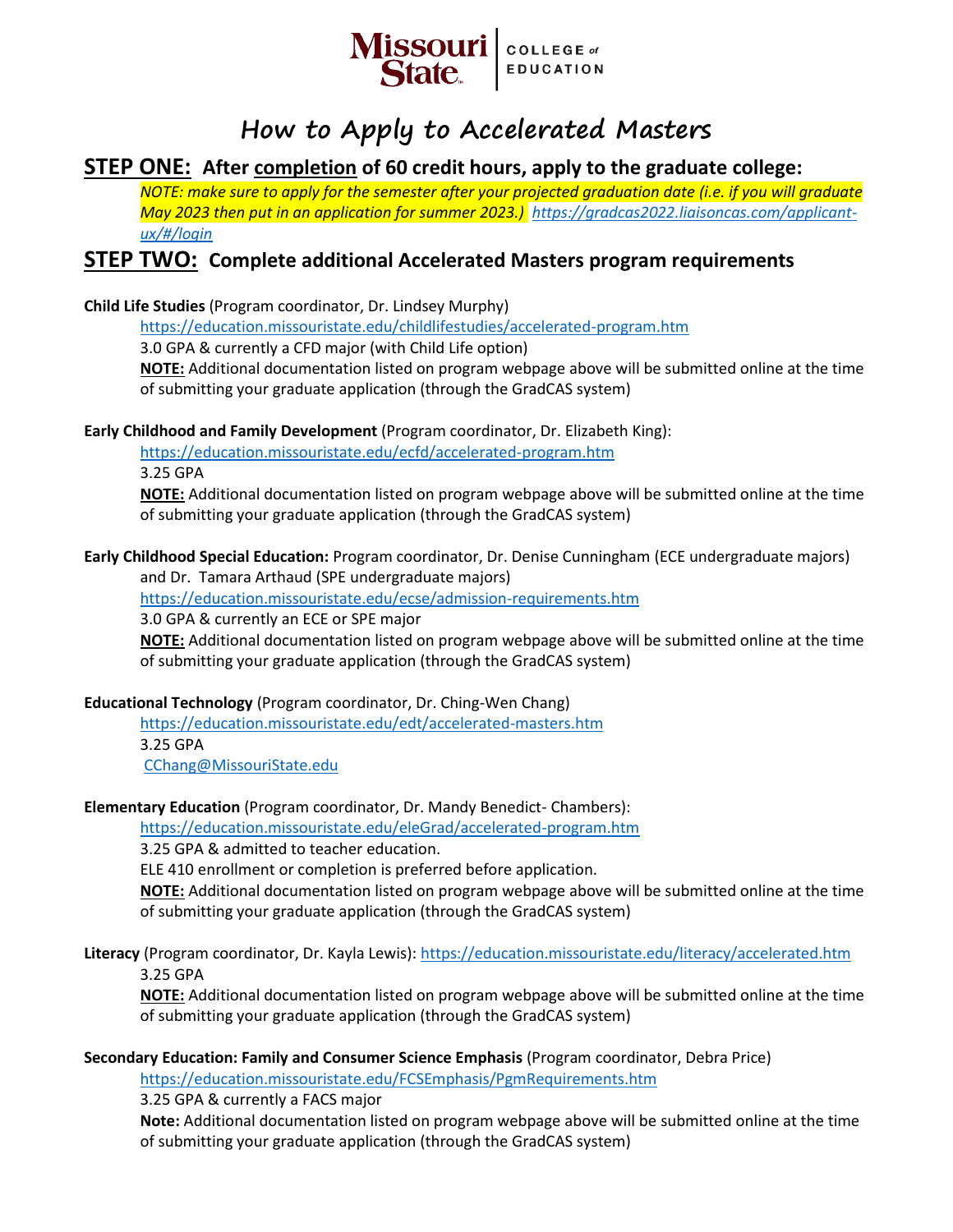

# **How to Apply to Accelerated Masters**

## **STEP ONE: After completion of 60 credit hours, apply to the graduate college:**

*NOTE: make sure to apply for the semester after your projected graduation date (i.e. if you will graduate May 2023 then put in an application for summer 2023.) [https://gradcas2022.liaisoncas.com/applicant](https://gradcas2022.liaisoncas.com/applicant-ux/#/login)[ux/#/login](https://gradcas2022.liaisoncas.com/applicant-ux/#/login)*

## **STEP TWO: Complete additional Accelerated Masters program requirements**

**Child Life Studies** (Program coordinator, Dr. Lindsey Murphy)

<https://education.missouristate.edu/childlifestudies/accelerated-program.htm>

3.0 GPA & currently a CFD major (with Child Life option)

**NOTE:** Additional documentation listed on program webpage above will be submitted online at the time of submitting your graduate application (through the GradCAS system)

**Early Childhood and Family Development** (Program coordinator, Dr. Elizabeth King):

<https://education.missouristate.edu/ecfd/accelerated-program.htm>

3.25 GPA

**NOTE:** Additional documentation listed on program webpage above will be submitted online at the time of submitting your graduate application (through the GradCAS system)

**Early Childhood Special Education:** Program coordinator, Dr. Denise Cunningham (ECE undergraduate majors)

and Dr. Tamara Arthaud (SPE undergraduate majors)

<https://education.missouristate.edu/ecse/admission-requirements.htm>

3.0 GPA & currently an ECE or SPE major

**NOTE:** Additional documentation listed on program webpage above will be submitted online at the time of submitting your graduate application (through the GradCAS system)

#### **Educational Technology** (Program coordinator, Dr. Ching-Wen Chang)

<https://education.missouristate.edu/edt/accelerated-masters.htm> 3.25 GPA [CChang@MissouriState.edu](mailto:CChang@MissouriState.edu)

#### **Elementary Education** (Program coordinator, Dr. Mandy Benedict- Chambers):

<https://education.missouristate.edu/eleGrad/accelerated-program.htm>

3.25 GPA & admitted to teacher education.

ELE 410 enrollment or completion is preferred before application.

**NOTE:** Additional documentation listed on program webpage above will be submitted online at the time of submitting your graduate application (through the GradCAS system)

**Literacy** (Program coordinator, Dr. Kayla Lewis):<https://education.missouristate.edu/literacy/accelerated.htm> 3.25 GPA

**NOTE:** Additional documentation listed on program webpage above will be submitted online at the time of submitting your graduate application (through the GradCAS system)

**Secondary Education: Family and Consumer Science Emphasis** (Program coordinator, Debra Price)

<https://education.missouristate.edu/FCSEmphasis/PgmRequirements.htm>

3.25 GPA & currently a FACS major

**Note:** Additional documentation listed on program webpage above will be submitted online at the time of submitting your graduate application (through the GradCAS system)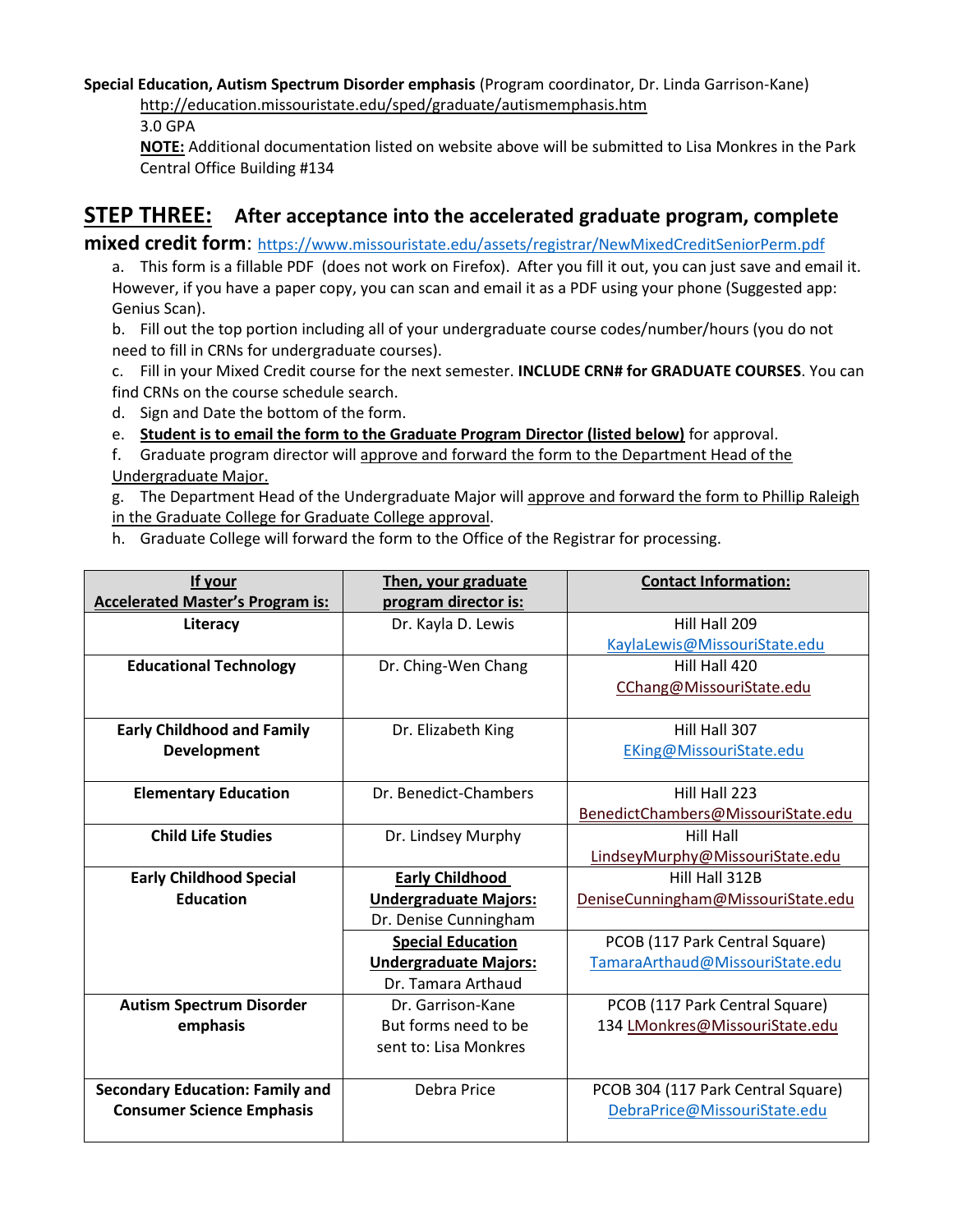**Special Education, Autism Spectrum Disorder emphasis** (Program coordinator, Dr. Linda Garrison-Kane) <http://education.missouristate.edu/sped/graduate/autismemphasis.htm>

3.0 GPA

**NOTE:** Additional documentation listed on website above will be submitted to Lisa Monkres in the Park Central Office Building #134

# **STEP THREE: After acceptance into the accelerated graduate program, complete**

**mixed credit form**: <https://www.missouristate.edu/assets/registrar/NewMixedCreditSeniorPerm.pdf>

a. This form is a fillable PDF (does not work on Firefox). After you fill it out, you can just save and email it. However, if you have a paper copy, you can scan and email it as a PDF using your phone (Suggested app: Genius Scan).

b. Fill out the top portion including all of your undergraduate course codes/number/hours (you do not need to fill in CRNs for undergraduate courses).

- c. Fill in your Mixed Credit course for the next semester. **INCLUDE CRN# for GRADUATE COURSES**. You can find CRNs on the course schedule search.
- d. Sign and Date the bottom of the form.
- e. **Student is to email the form to the Graduate Program Director (listed below)** for approval.
- f. Graduate program director will approve and forward the form to the Department Head of the Undergraduate Major.

g. The Department Head of the Undergraduate Major will approve and forward the form to Phillip Raleigh in the Graduate College for Graduate College approval.

h. Graduate College will forward the form to the Office of the Registrar for processing.

| If your                                 | Then, your graduate          | <b>Contact Information:</b>        |
|-----------------------------------------|------------------------------|------------------------------------|
| <b>Accelerated Master's Program is:</b> | program director is:         |                                    |
| Literacy                                | Dr. Kayla D. Lewis           | Hill Hall 209                      |
|                                         |                              | KaylaLewis@MissouriState.edu       |
| <b>Educational Technology</b>           | Dr. Ching-Wen Chang          | Hill Hall 420                      |
|                                         |                              | CChang@MissouriState.edu           |
|                                         |                              |                                    |
| <b>Early Childhood and Family</b>       | Dr. Elizabeth King           | Hill Hall 307                      |
| <b>Development</b>                      |                              | EKing@MissouriState.edu            |
|                                         |                              |                                    |
| <b>Elementary Education</b>             | Dr. Benedict-Chambers        | Hill Hall 223                      |
|                                         |                              | BenedictChambers@MissouriState.edu |
| <b>Child Life Studies</b>               | Dr. Lindsey Murphy           | Hill Hall                          |
|                                         |                              | LindseyMurphy@MissouriState.edu    |
| <b>Early Childhood Special</b>          | <b>Early Childhood</b>       | Hill Hall 312B                     |
| <b>Education</b>                        | <b>Undergraduate Majors:</b> | DeniseCunningham@MissouriState.edu |
|                                         | Dr. Denise Cunningham        |                                    |
|                                         | <b>Special Education</b>     | PCOB (117 Park Central Square)     |
|                                         | <b>Undergraduate Majors:</b> | TamaraArthaud@MissouriState.edu    |
|                                         | Dr. Tamara Arthaud           |                                    |
| <b>Autism Spectrum Disorder</b>         | Dr. Garrison-Kane            | PCOB (117 Park Central Square)     |
| emphasis                                | But forms need to be         | 134 LMonkres@MissouriState.edu     |
|                                         | sent to: Lisa Monkres        |                                    |
|                                         |                              |                                    |
| <b>Secondary Education: Family and</b>  | Debra Price                  | PCOB 304 (117 Park Central Square) |
| <b>Consumer Science Emphasis</b>        |                              | DebraPrice@MissouriState.edu       |
|                                         |                              |                                    |